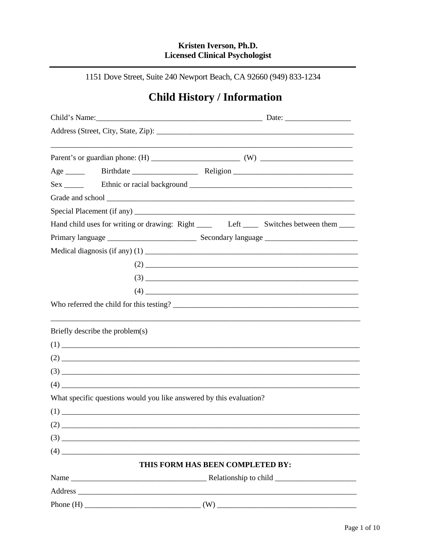# Kristen Iverson, Ph.D. **Licensed Clinical Psychologist**

1151 Dove Street, Suite 240 Newport Beach, CA 92660 (949) 833-1234

# **Child History / Information**

|                                                                     | Hand child uses for writing or drawing: Right _______ Left _______ Switches between them ______ |
|---------------------------------------------------------------------|-------------------------------------------------------------------------------------------------|
|                                                                     |                                                                                                 |
|                                                                     |                                                                                                 |
|                                                                     | $(2)$ $\overline{\phantom{a}}$                                                                  |
|                                                                     |                                                                                                 |
|                                                                     |                                                                                                 |
|                                                                     |                                                                                                 |
| Briefly describe the problem(s)                                     |                                                                                                 |
|                                                                     |                                                                                                 |
|                                                                     |                                                                                                 |
|                                                                     |                                                                                                 |
|                                                                     |                                                                                                 |
| What specific questions would you like answered by this evaluation? |                                                                                                 |
|                                                                     |                                                                                                 |
| (2)                                                                 |                                                                                                 |
|                                                                     |                                                                                                 |
| $(4)$ $\overline{\phantom{a}}$                                      |                                                                                                 |
|                                                                     | THIS FORM HAS BEEN COMPLETED BY:                                                                |
|                                                                     |                                                                                                 |
|                                                                     |                                                                                                 |
|                                                                     |                                                                                                 |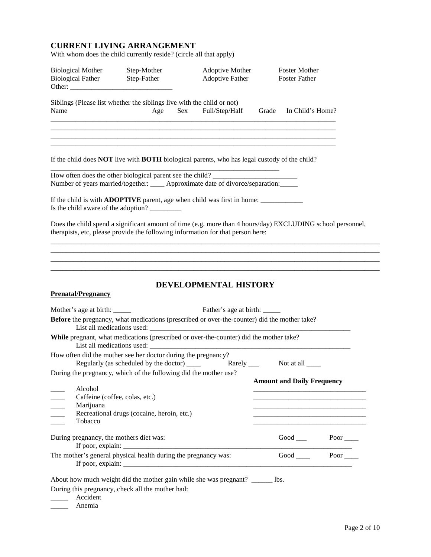## **CURRENT LIVING ARRANGEMENT**

With whom does the child currently reside? (circle all that apply)

| <b>Biological Mother</b><br><b>Biological Father</b> | Step-Mother<br>Step-Father                                                                                                                                                                                                 | Adoptive Mother<br><b>Adoptive Father</b> | <b>Foster Mother</b><br><b>Foster Father</b> |  |
|------------------------------------------------------|----------------------------------------------------------------------------------------------------------------------------------------------------------------------------------------------------------------------------|-------------------------------------------|----------------------------------------------|--|
| Name                                                 | Siblings (Please list whether the siblings live with the child or not)<br>Age<br>Sex                                                                                                                                       | Full/Step/Half                            | Grade In Child's Home?                       |  |
|                                                      | If the child does <b>NOT</b> live with <b>BOTH</b> biological parents, who has legal custody of the child?<br>How often does the other biological parent see the child? _______________________                            |                                           |                                              |  |
|                                                      | Number of years married/together: ____ Approximate date of divorce/separation:_____<br>If the child is with <b>ADOPTIVE</b> parent, age when child was first in home: _____________<br>Is the child aware of the adoption? |                                           |                                              |  |
|                                                      | Does the child spend a significant amount of time (e.g. more than 4 hours/day) EXCLUDING school personnel,<br>therapists, etc, please provide the following information for that person here:                              |                                           |                                              |  |
|                                                      |                                                                                                                                                                                                                            |                                           |                                              |  |
| <b>Prenatal/Pregnancy</b>                            |                                                                                                                                                                                                                            | DEVELOPMENTAL HISTORY                     |                                              |  |
|                                                      | Before the pregnancy, what medications (prescribed or over-the-counter) did the mother take?                                                                                                                               |                                           |                                              |  |
|                                                      | While pregnant, what medications (prescribed or over-the-counter) did the mother take?                                                                                                                                     |                                           |                                              |  |
|                                                      | How often did the mother see her doctor during the pregnancy?<br>Regularly (as scheduled by the doctor) ______<br>During the pregnancy, which of the following did the mother use?                                         | Rarely $\_\_$                             | Not at all $\frac{ }{ }$                     |  |
| Alcohol<br>Marijuana<br>Tobacco                      | Caffeine (coffee, colas, etc.)<br>Recreational drugs (cocaine, heroin, etc.)                                                                                                                                               |                                           | <b>Amount and Daily Frequency</b>            |  |
| During pregnancy, the mothers diet was:              |                                                                                                                                                                                                                            |                                           | Good Poor ____                               |  |
|                                                      | The mother's general physical health during the pregnancy was:                                                                                                                                                             |                                           | Good Poor                                    |  |
| Accident<br>Anemia                                   | About how much weight did the mother gain while she was pregnant? ______ lbs.<br>During this pregnancy, check all the mother had:                                                                                          |                                           |                                              |  |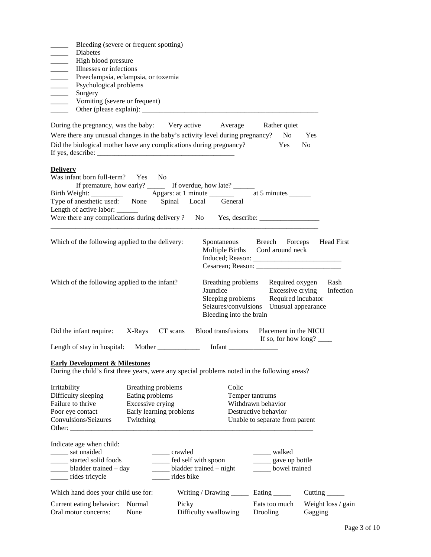| Bleeding (severe or frequent spotting)<br>Diabetes<br>High blood pressure<br>$\overline{\phantom{a}}$<br>Illnesses or infections<br>$\overline{\phantom{a}}$<br>$\overline{\phantom{a}}$<br>Preeclampsia, eclampsia, or toxemia<br>$\overline{\phantom{a}}$<br>Psychological problems |                                                                        |                                                                                   |                                                                                                                                           |                                                                                                 |                                         |
|---------------------------------------------------------------------------------------------------------------------------------------------------------------------------------------------------------------------------------------------------------------------------------------|------------------------------------------------------------------------|-----------------------------------------------------------------------------------|-------------------------------------------------------------------------------------------------------------------------------------------|-------------------------------------------------------------------------------------------------|-----------------------------------------|
| Surgery<br>$\overline{\phantom{a}}$<br>Vomiting (severe or frequent)                                                                                                                                                                                                                  |                                                                        |                                                                                   |                                                                                                                                           |                                                                                                 |                                         |
| During the pregnancy, was the baby: Very active<br>Were there any unusual changes in the baby's activity level during pregnancy?<br>Did the biological mother have any complications during pregnancy?                                                                                |                                                                        |                                                                                   | Average                                                                                                                                   | Rather quiet<br>N <sub>0</sub><br>Yes                                                           | Yes<br>N <sub>0</sub>                   |
| <b>Delivery</b><br>Was infant born full-term? Yes No<br>Type of anesthetic used: None Spinal Local<br>Length of active labor: ______<br>Were there any complications during delivery ? No Yes, describe: _______________                                                              |                                                                        |                                                                                   | If premature, how early? ________ If overdue, how late? _______<br>General                                                                |                                                                                                 |                                         |
| Which of the following applied to the delivery:                                                                                                                                                                                                                                       |                                                                        |                                                                                   | Spontaneous Breech Forceps<br>Multiple Births Cord around neck                                                                            |                                                                                                 | <b>Head First</b>                       |
| Which of the following applied to the infant?                                                                                                                                                                                                                                         |                                                                        |                                                                                   | Breathing problems Required oxygen<br>Jaundice<br>Sleeping problems<br>Seizures/convulsions Unusual appearance<br>Bleeding into the brain | Excessive crying                                                                                | Rash<br>Infection<br>Required incubator |
| Did the infant require:<br>Length of stay in hospital: Mother __________                                                                                                                                                                                                              |                                                                        | X-Rays CT scans                                                                   | <b>Blood transfusions</b><br>Infant $\frac{1}{2}$                                                                                         | Placement in the NICU                                                                           | If so, for how long?                    |
| <b>Early Development &amp; Milestones</b><br>During the child's first three years, were any special problems noted in the following areas?                                                                                                                                            |                                                                        |                                                                                   |                                                                                                                                           |                                                                                                 |                                         |
| Irritability<br>Difficulty sleeping<br>Failure to thrive<br>Poor eye contact<br>Convulsions/Seizures<br>Other:                                                                                                                                                                        | Breathing problems<br>Eating problems<br>Excessive crying<br>Twitching | Early learning problems                                                           | Colic                                                                                                                                     | Temper tantrums<br>Withdrawn behavior<br>Destructive behavior<br>Unable to separate from parent |                                         |
| Indicate age when child:<br>sat unaided<br>started solid foods<br>_____ bladder trained – day<br>______ rides tricycle                                                                                                                                                                |                                                                        | crawled<br>____ fed self with spoon<br>____ bladder trained – night<br>rides bike |                                                                                                                                           | _____ walked<br>_______ gave up bottle<br>____ bowel trained                                    |                                         |
| Which hand does your child use for:                                                                                                                                                                                                                                                   |                                                                        |                                                                                   | Writing / Drawing _________ Eating _______                                                                                                |                                                                                                 | Cutting $\overline{\phantom{a}}$        |
| Current eating behavior:<br>Oral motor concerns:                                                                                                                                                                                                                                      | Normal<br>None                                                         | Picky                                                                             | Difficulty swallowing                                                                                                                     | Eats too much<br>Drooling                                                                       | Weight loss / gain<br>Gagging           |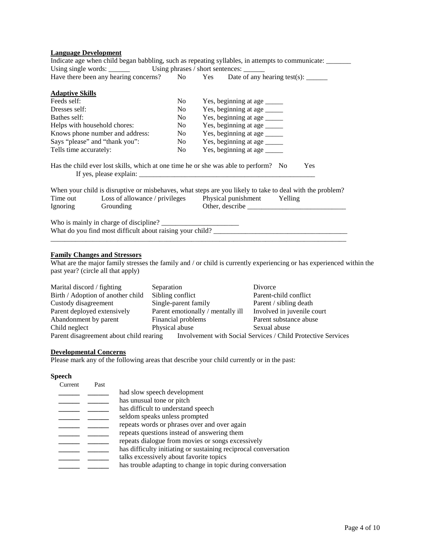#### **Language Development**

|                                                                                           |             | Indicate age when child began babbling, such as repeating syllables, in attempts to communicate: _____                                                                                                                                                                                                                                                                                                                      |  |  |
|-------------------------------------------------------------------------------------------|-------------|-----------------------------------------------------------------------------------------------------------------------------------------------------------------------------------------------------------------------------------------------------------------------------------------------------------------------------------------------------------------------------------------------------------------------------|--|--|
|                                                                                           |             |                                                                                                                                                                                                                                                                                                                                                                                                                             |  |  |
|                                                                                           |             | Have there been any hearing concerns? No Yes Date of any hearing test(s): ______                                                                                                                                                                                                                                                                                                                                            |  |  |
| <b>Adaptive Skills</b>                                                                    |             |                                                                                                                                                                                                                                                                                                                                                                                                                             |  |  |
| Feeds self:                                                                               | No.         | Yes, beginning at age _______                                                                                                                                                                                                                                                                                                                                                                                               |  |  |
| Dresses self:                                                                             | No          |                                                                                                                                                                                                                                                                                                                                                                                                                             |  |  |
| Bathes self:                                                                              | No          |                                                                                                                                                                                                                                                                                                                                                                                                                             |  |  |
| Helps with household chores:                                                              | No r        | Yes, beginning at age _____                                                                                                                                                                                                                                                                                                                                                                                                 |  |  |
| Knows phone number and address:                                                           | No results. | Yes, beginning at age _____                                                                                                                                                                                                                                                                                                                                                                                                 |  |  |
| Says "please" and "thank you":                                                            | No results. |                                                                                                                                                                                                                                                                                                                                                                                                                             |  |  |
| Tells time accurately:                                                                    | No.         | Yes, beginning at age _____                                                                                                                                                                                                                                                                                                                                                                                                 |  |  |
| Has the child ever lost skills, which at one time he or she was able to perform? No       |             | <b>Yes</b><br>If yes, please explain: $\frac{1}{\sqrt{1-\frac{1}{\sqrt{1-\frac{1}{\sqrt{1-\frac{1}{\sqrt{1-\frac{1}{\sqrt{1-\frac{1}{\sqrt{1-\frac{1}{\sqrt{1-\frac{1}{\sqrt{1-\frac{1}{\sqrt{1-\frac{1}{\sqrt{1-\frac{1}{\sqrt{1-\frac{1}{\sqrt{1-\frac{1}{\sqrt{1-\frac{1}{\sqrt{1-\frac{1}{\sqrt{1-\frac{1}{\sqrt{1-\frac{1}{\sqrt{1-\frac{1}{\sqrt{1-\frac{1}{\sqrt{1-\frac{1}{\sqrt{1-\frac{1}{\sqrt{1-\frac{1}{\sqrt$ |  |  |
| Time out Loss of allowance / privileges Physical punishment Yelling<br>Ignoring Grounding |             | When your child is disruptive or misbehaves, what steps are you likely to take to deal with the problem?                                                                                                                                                                                                                                                                                                                    |  |  |
|                                                                                           |             |                                                                                                                                                                                                                                                                                                                                                                                                                             |  |  |

#### **Family Changes and Stressors**

What are the major family stresses the family and / or child is currently experiencing or has experienced within the past year? (circle all that apply)

| Marital discord / fighting                                                                              | Separation                        | Divorce                    |  |  |
|---------------------------------------------------------------------------------------------------------|-----------------------------------|----------------------------|--|--|
| Birth / Adoption of another child                                                                       | Sibling conflict                  | Parent-child conflict      |  |  |
| Custody disagreement                                                                                    | Single-parent family              | Parent / sibling death     |  |  |
| Parent deployed extensively                                                                             | Parent emotionally / mentally ill | Involved in juvenile court |  |  |
| Abandonment by parent                                                                                   | Financial problems                | Parent substance abuse     |  |  |
| Child neglect                                                                                           | Physical abuse                    | Sexual abuse               |  |  |
| Parent disagreement about child rearing<br>Involvement with Social Services / Child Protective Services |                                   |                            |  |  |

#### **Developmental Concerns**

Please mark any of the following areas that describe your child currently or in the past:

#### **Speech**

| Current | Past |                                                                 |
|---------|------|-----------------------------------------------------------------|
|         |      | had slow speech development                                     |
|         |      | has unusual tone or pitch                                       |
|         |      | has difficult to understand speech                              |
|         |      | seldom speaks unless prompted                                   |
|         |      | repeats words or phrases over and over again                    |
|         |      | repeats questions instead of answering them                     |
|         |      | repeats dialogue from movies or songs excessively               |
|         |      | has difficulty initiating or sustaining reciprocal conversation |
|         |      | talks excessively about favorite topics                         |
|         |      | has trouble adapting to change in topic during conversation     |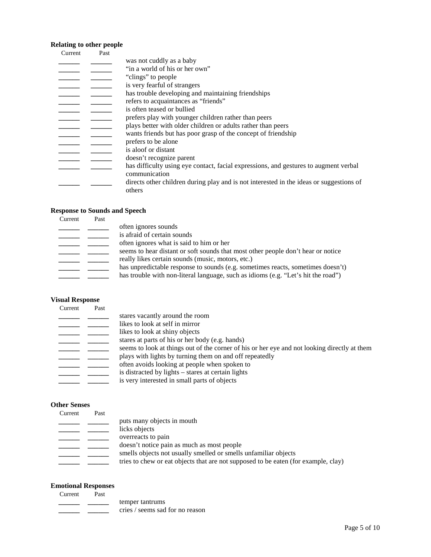# **Relating to other people**

| Current | Past |                                                                                         |
|---------|------|-----------------------------------------------------------------------------------------|
|         |      | was not cuddly as a baby                                                                |
|         |      | "in a world of his or her own"                                                          |
|         |      | "clings" to people"                                                                     |
|         |      | is very fearful of strangers                                                            |
|         |      | has trouble developing and maintaining friendships                                      |
|         |      | refers to acquaintances as "friends"                                                    |
|         |      | is often teased or bullied                                                              |
|         |      | prefers play with younger children rather than peers                                    |
|         |      | plays better with older children or adults rather than peers                            |
|         |      | wants friends but has poor grasp of the concept of friendship                           |
|         |      | prefers to be alone                                                                     |
|         |      | is aloof or distant                                                                     |
|         |      | doesn't recognize parent                                                                |
|         |      | has difficulty using eye contact, facial expressions, and gestures to augment verbal    |
|         |      | communication                                                                           |
|         |      | directs other children during play and is not interested in the ideas or suggestions of |
|         |      | others                                                                                  |

# **Response to Sounds and Speech**

| Current | Past |                                                                                   |
|---------|------|-----------------------------------------------------------------------------------|
|         |      | often ignores sounds                                                              |
|         |      | is afraid of certain sounds                                                       |
|         |      | often ignores what is said to him or her                                          |
|         |      | seems to hear distant or soft sounds that most other people don't hear or notice  |
|         |      | really likes certain sounds (music, motors, etc.)                                 |
|         |      | has unpredictable response to sounds (e.g. sometimes reacts, sometimes doesn't)   |
|         |      | has trouble with non-literal language, such as idioms (e.g. "Let's hit the road") |

# **Visual Response**

| Current | Past |                                                                                              |
|---------|------|----------------------------------------------------------------------------------------------|
|         |      | stares vacantly around the room                                                              |
|         |      | likes to look at self in mirror                                                              |
|         |      | likes to look at shiny objects                                                               |
|         |      | stares at parts of his or her body (e.g. hands)                                              |
|         |      | seems to look at things out of the corner of his or her eye and not looking directly at them |
|         |      | plays with lights by turning them on and off repeatedly                                      |
|         |      | often avoids looking at people when spoken to                                                |
|         |      | is distracted by lights – stares at certain lights                                           |
|         |      | is very interested in small parts of objects                                                 |
|         |      |                                                                                              |

## **Other Senses**

| Current | Past |                                                                                    |
|---------|------|------------------------------------------------------------------------------------|
|         |      | puts many objects in mouth                                                         |
|         |      | licks objects                                                                      |
|         |      | overreacts to pain                                                                 |
|         |      | doesn't notice pain as much as most people                                         |
|         |      | smells objects not usually smelled or smells unfamiliar objects                    |
|         |      | tries to chew or eat objects that are not supposed to be eaten (for example, clay) |
|         |      |                                                                                    |

## **Emotional Responses**

| Current | Past |                                 |
|---------|------|---------------------------------|
|         |      | temper tantrums                 |
|         |      | cries / seems sad for no reason |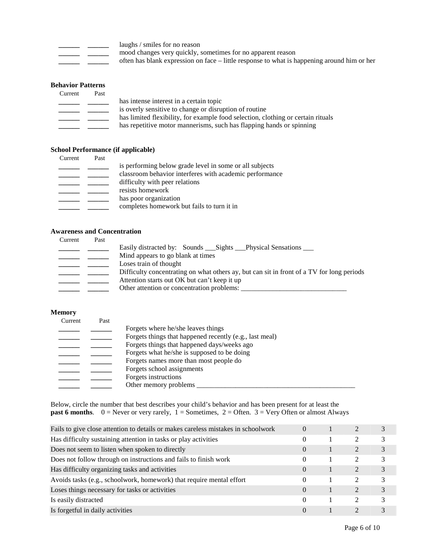| ______ | _________ |
|--------|-----------|
| __     |           |

**\_\_\_\_\_\_** 

- laughs / smiles for no reason
- **\_\_\_\_\_\_**  mood changes very quickly, sometimes for no apparent reason
- **\_\_\_\_\_\_**  often has blank expression on face – little response to what is happening around him or her

## **Behavior Patterns**

| Current | Past |                                                                                  |
|---------|------|----------------------------------------------------------------------------------|
|         |      | has intense interest in a certain topic                                          |
|         |      | is overly sensitive to change or disruption of routine                           |
|         |      | has limited flexibility, for example food selection, clothing or certain rituals |
|         |      | has repetitive motor mannerisms, such has flapping hands or spinning             |

#### **School Performance (if applicable)**

| Current | Past |                                                         |
|---------|------|---------------------------------------------------------|
|         |      | is performing below grade level in some or all subjects |
|         |      | classroom behavior interferes with academic performance |
|         |      | difficulty with peer relations                          |
|         |      | resists homework                                        |
|         |      | has poor organization                                   |
|         |      | completes homework but fails to turn it in              |
|         |      |                                                         |

## **Awareness and Concentration**

| Current | Past |                                                                                           |
|---------|------|-------------------------------------------------------------------------------------------|
|         |      | Easily distracted by: Sounds ___ Sights ___ Physical Sensations ___                       |
|         |      | Mind appears to go blank at times                                                         |
|         |      | Loses train of thought                                                                    |
|         |      | Difficulty concentrating on what others ay, but can sit in front of a TV for long periods |
|         |      | Attention starts out OK but can't keep it up                                              |
|         |      | Other attention or concentration problems:                                                |
|         |      |                                                                                           |

#### **Memory**

| Current | Past |                                                         |
|---------|------|---------------------------------------------------------|
|         |      | Forgets where he/she leaves things                      |
|         |      | Forgets things that happened recently (e.g., last meal) |
|         |      | Forgets things that happened days/weeks ago             |
|         |      | Forgets what he/she is supposed to be doing             |
|         |      | Forgets names more than most people do                  |
|         |      | Forgets school assignments                              |
|         |      | Forgets instructions                                    |
|         |      | Other memory problems                                   |

Below, circle the number that best describes your child's behavior and has been present for at least the **past 6 months**.  $0 =$  Never or very rarely,  $1 =$  Sometimes,  $2 =$  Often.  $3 =$  Very Often or almost Always

| Fails to give close attention to details or makes careless mistakes in schoolwork | $\theta$ |                             |               |
|-----------------------------------------------------------------------------------|----------|-----------------------------|---------------|
| Has difficulty sustaining attention in tasks or play activities                   | $\theta$ |                             | 3             |
| Does not seem to listen when spoken to directly                                   | $\Omega$ | $\mathcal{D}_{\mathcal{L}}$ | 3             |
| Does not follow through on instructions and fails to finish work                  | $\Omega$ | $\mathcal{D}_{\mathcal{L}}$ | 3             |
| Has difficulty organizing tasks and activities                                    | $\Omega$ | 2                           | 3             |
| Avoids tasks (e.g., schoolwork, homework) that require mental effort              | 0        | $\mathcal{D}_{\mathcal{L}}$ | 3             |
| Loses things necessary for tasks or activities                                    | $\Omega$ | $\mathfrak{D}$              | $\mathcal{E}$ |
| Is easily distracted                                                              | $\Omega$ | $\mathcal{D}_{\mathcal{L}}$ | $\mathcal{R}$ |
| Is forgetful in daily activities                                                  | $\Omega$ |                             |               |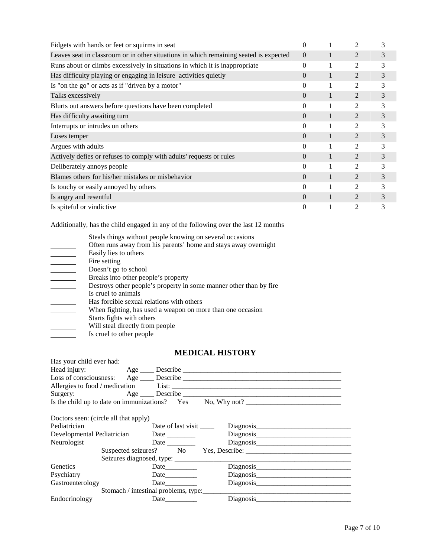| Fidgets with hands or feet or squirms in seat                                         | 0        |              | $\mathfrak{D}$              | 3 |
|---------------------------------------------------------------------------------------|----------|--------------|-----------------------------|---|
| Leaves seat in classroom or in other situations in which remaining seated is expected | $\Omega$ | 1            | 2                           | 3 |
| Runs about or climbs excessively in situations in which it is inappropriate           | $\theta$ |              | $\overline{c}$              | 3 |
| Has difficulty playing or engaging in leisure activities quietly                      | $\Omega$ | 1            | $\overline{2}$              | 3 |
| Is "on the go" or acts as if "driven by a motor"                                      | $\Omega$ |              | 2                           | 3 |
| Talks excessively                                                                     | $\Omega$ | $\mathbf{1}$ | $\mathcal{D}_{\mathcal{L}}$ | 3 |
| Blurts out answers before questions have been completed                               | 0        |              | 2                           | 3 |
| Has difficulty awaiting turn                                                          | $\Omega$ | $\mathbf{1}$ | 2                           | 3 |
| Interrupts or intrudes on others                                                      | $\Omega$ |              | 2                           | 3 |
| Loses temper                                                                          | $\Omega$ | $\mathbf{1}$ | 2                           | 3 |
| Argues with adults                                                                    | $\Omega$ |              | 2                           | 3 |
| Actively defies or refuses to comply with adults' requests or rules                   | $\Omega$ |              | $\overline{2}$              | 3 |
| Deliberately annoys people                                                            | $\theta$ |              | $\mathfrak{D}$              | 3 |
| Blames others for his/her mistakes or misbehavior                                     | $\Omega$ | 1            | 2                           | 3 |
| Is touchy or easily annoyed by others                                                 | $\Omega$ |              | $\mathfrak{D}$              | 3 |
| Is angry and resentful                                                                | $\Omega$ | 1            | $\mathcal{D}_{\mathcal{L}}$ | 3 |
| Is spiteful or vindictive                                                             | $\theta$ |              | 2                           | 3 |

Additionally, has the child engaged in any of the following over the last 12 months

| Steals things without people knowing on several occasions          |
|--------------------------------------------------------------------|
| Often runs away from his parents' home and stays away overnight    |
| Easily lies to others                                              |
| Fire setting                                                       |
| Doesn't go to school                                               |
| Breaks into other people's property                                |
| Destroys other people's property in some manner other than by fire |
| Is cruel to animals                                                |
| Has forcible sexual relations with others                          |
| When fighting, has used a weapon on more than one occasion         |
| Starts fights with others                                          |
| Will steal directly from people                                    |
| Is cruel to other people                                           |

# **MEDICAL HISTORY**

| Has your child ever had:              |                                           |                           |                                                                                                                                                                                                                               |  |
|---------------------------------------|-------------------------------------------|---------------------------|-------------------------------------------------------------------------------------------------------------------------------------------------------------------------------------------------------------------------------|--|
|                                       |                                           |                           |                                                                                                                                                                                                                               |  |
|                                       |                                           |                           |                                                                                                                                                                                                                               |  |
|                                       |                                           |                           | Allergies to food / medication List: Letter List:                                                                                                                                                                             |  |
|                                       |                                           |                           |                                                                                                                                                                                                                               |  |
|                                       |                                           |                           | Is the child up to date on immunizations? Yes No, Why not?                                                                                                                                                                    |  |
|                                       |                                           |                           |                                                                                                                                                                                                                               |  |
| Doctors seen: (circle all that apply) |                                           |                           |                                                                                                                                                                                                                               |  |
| Pediatrician                          |                                           | Date of last visit ______ | Diagnosis                                                                                                                                                                                                                     |  |
|                                       | Developmental Pediatrician Date _________ |                           |                                                                                                                                                                                                                               |  |
| Neurologist                           |                                           |                           |                                                                                                                                                                                                                               |  |
|                                       |                                           |                           |                                                                                                                                                                                                                               |  |
|                                       |                                           |                           |                                                                                                                                                                                                                               |  |
| Genetics                              |                                           |                           |                                                                                                                                                                                                                               |  |
| Psychiatry                            |                                           |                           |                                                                                                                                                                                                                               |  |
| Gastroenterology                      |                                           | Date                      |                                                                                                                                                                                                                               |  |
|                                       | Stomach / intestinal problems, type:      |                           |                                                                                                                                                                                                                               |  |
| Endocrinology                         |                                           | Date                      | Diagnosis and the contract of the contract of the contract of the contract of the contract of the contract of the contract of the contract of the contract of the contract of the contract of the contract of the contract of |  |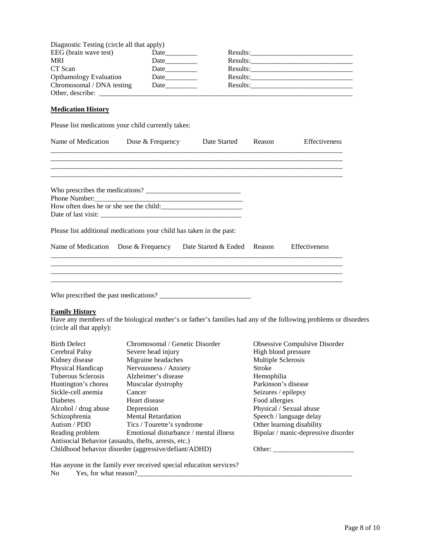| Diagnostic Testing (circle all that apply) |      |          |
|--------------------------------------------|------|----------|
| EEG (brain wave test)                      | Date | Results: |
| MRI                                        | Date | Results: |
| CT Scan                                    | Date | Results: |
| <b>Opthamology Evaluation</b>              | Date | Results: |
| Chromosomal / DNA testing                  | Date | Results: |
| Other, describe:                           |      |          |

# **Medication History**

Please list medications your child currently takes:

|                                                   | Dose & Frequency                                                                                                | Date Started                | Reason              | Effectiveness                       |
|---------------------------------------------------|-----------------------------------------------------------------------------------------------------------------|-----------------------------|---------------------|-------------------------------------|
|                                                   |                                                                                                                 |                             |                     |                                     |
| Phone Number:                                     |                                                                                                                 |                             |                     |                                     |
|                                                   |                                                                                                                 |                             |                     |                                     |
|                                                   | Please list additional medications your child has taken in the past:                                            |                             |                     |                                     |
| Name of Medication Dose & Frequency               |                                                                                                                 | Date Started & Ended Reason |                     | <b>Effectiveness</b>                |
|                                                   |                                                                                                                 |                             |                     |                                     |
|                                                   |                                                                                                                 |                             |                     |                                     |
|                                                   |                                                                                                                 |                             |                     |                                     |
|                                                   |                                                                                                                 |                             |                     |                                     |
|                                                   |                                                                                                                 |                             |                     |                                     |
| <b>Family History</b><br>(circle all that apply): | Have any members of the biological mother's or father's families had any of the following problems or disorders |                             |                     |                                     |
| <b>Birth Defect</b>                               | Chromosomal / Genetic Disorder                                                                                  |                             |                     | Obsessive Compulsive Disorder       |
|                                                   | Severe head injury                                                                                              |                             | High blood pressure |                                     |
| Cerebral Palsy<br>Kidney disease                  | Migraine headaches                                                                                              |                             | Multiple Sclerosis  |                                     |
| Physical Handicap                                 | Nervousness / Anxiety                                                                                           |                             | <b>Stroke</b>       |                                     |
| <b>Tuberous Sclerosis</b>                         | Alzheimer's disease                                                                                             |                             | Hemophilia          |                                     |
| Huntington's chorea                               | Muscular dystrophy                                                                                              |                             | Parkinson's disease |                                     |
| Sickle-cell anemia                                | Cancer                                                                                                          |                             | Seizures / epilepsy |                                     |
| <b>Diabetes</b>                                   | Heart disease                                                                                                   |                             | Food allergies      |                                     |
| Alcohol / drug abuse                              | Depression                                                                                                      |                             |                     | Physical / Sexual abuse             |
| Schizophrenia                                     | <b>Mental Retardation</b>                                                                                       |                             |                     | Speech / language delay             |
| Autism / PDD                                      | Tics / Tourette's syndrome                                                                                      |                             |                     | Other learning disability           |
| Reading problem                                   | Emotional disturbance / mental illness                                                                          |                             |                     | Bipolar / manic-depressive disorder |
|                                                   | Antisocial Behavior (assaults, thefts, arrests, etc.)<br>Childhood behavior disorder (aggressive/defiant/ADHD)  |                             |                     |                                     |

Has anyone in the family ever received special education services? No Yes, for what reason?\_\_\_\_\_\_\_\_\_\_\_\_\_\_\_\_\_\_\_\_\_\_\_\_\_\_\_\_\_\_\_\_\_\_\_\_\_\_\_\_\_\_\_\_\_\_\_\_\_\_\_\_\_\_\_\_\_\_\_\_\_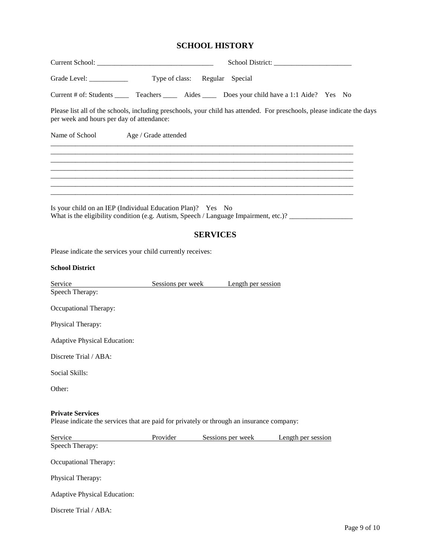# **SCHOOL HISTORY**

| Grade Level: $\frac{\qquad \qquad }{\qquad \qquad }$                                                                                                                 | Type of class: Regular Special       |                 |                   |                    |  |
|----------------------------------------------------------------------------------------------------------------------------------------------------------------------|--------------------------------------|-----------------|-------------------|--------------------|--|
| Current # of: Students _______ Teachers ________ Aides _______ Does your child have a 1:1 Aide? Yes No                                                               |                                      |                 |                   |                    |  |
| Please list all of the schools, including preschools, your child has attended. For preschools, please indicate the days<br>per week and hours per day of attendance: |                                      |                 |                   |                    |  |
| Name of School Age / Grade attended                                                                                                                                  |                                      |                 |                   |                    |  |
|                                                                                                                                                                      |                                      |                 |                   |                    |  |
|                                                                                                                                                                      |                                      |                 |                   |                    |  |
| Is your child on an IEP (Individual Education Plan)? Yes No                                                                                                          |                                      |                 |                   |                    |  |
|                                                                                                                                                                      |                                      | <b>SERVICES</b> |                   |                    |  |
| Please indicate the services your child currently receives:                                                                                                          |                                      |                 |                   |                    |  |
| <b>School District</b>                                                                                                                                               |                                      |                 |                   |                    |  |
| Service                                                                                                                                                              | Sessions per week Length per session |                 |                   |                    |  |
| Speech Therapy:                                                                                                                                                      |                                      |                 |                   |                    |  |
| Occupational Therapy:                                                                                                                                                |                                      |                 |                   |                    |  |
| Physical Therapy:                                                                                                                                                    |                                      |                 |                   |                    |  |
| <b>Adaptive Physical Education:</b>                                                                                                                                  |                                      |                 |                   |                    |  |
| Discrete Trial / ABA:                                                                                                                                                |                                      |                 |                   |                    |  |
| Social Skills:                                                                                                                                                       |                                      |                 |                   |                    |  |
| Other:                                                                                                                                                               |                                      |                 |                   |                    |  |
| <b>Private Services</b><br>Please indicate the services that are paid for privately or through an insurance company:                                                 |                                      |                 |                   |                    |  |
| Service<br>Speech Therapy:                                                                                                                                           | Provider                             |                 | Sessions per week | Length per session |  |
|                                                                                                                                                                      |                                      |                 |                   |                    |  |
| Occupational Therapy:                                                                                                                                                |                                      |                 |                   |                    |  |
| Physical Therapy:                                                                                                                                                    |                                      |                 |                   |                    |  |
| <b>Adaptive Physical Education:</b>                                                                                                                                  |                                      |                 |                   |                    |  |
| Discrete Trial / ABA:                                                                                                                                                |                                      |                 |                   |                    |  |